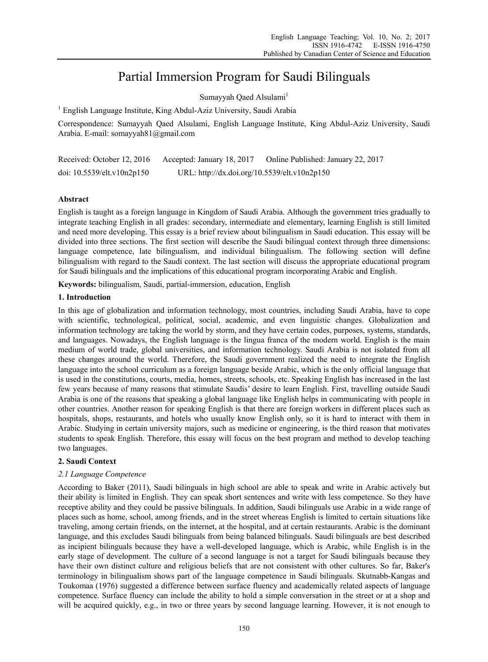# Partial Immersion Program for Saudi Bilinguals

Sumayyah Qaed Alsulami<sup>1</sup>

<sup>1</sup> English Language Institute, King Abdul-Aziz University, Saudi Arabia

Correspondence: Sumayyah Qaed Alsulami, English Language Institute, King Abdul-Aziz University, Saudi Arabia. E-mail: somayyah81@gmail.com

Received: October 12, 2016 Accepted: January 18, 2017 Online Published: January 22, 2017 doi: 10.5539/elt.v10n2p150 URL: http://dx.doi.org/10.5539/elt.v10n2p150

# **Abstract**

English is taught as a foreign language in Kingdom of Saudi Arabia. Although the government tries gradually to integrate teaching English in all grades: secondary, intermediate and elementary, learning English is still limited and need more developing. This essay is a brief review about bilingualism in Saudi education. This essay will be divided into three sections. The first section will describe the Saudi bilingual context through three dimensions: language competence, late bilingualism, and individual bilingualism. The following section will define bilingualism with regard to the Saudi context. The last section will discuss the appropriate educational program for Saudi bilinguals and the implications of this educational program incorporating Arabic and English.

**Keywords:** bilingualism, Saudi, partial-immersion, education, English

#### **1. Introduction**

In this age of globalization and information technology, most countries, including Saudi Arabia, have to cope with scientific, technological, political, social, academic, and even linguistic changes. Globalization and information technology are taking the world by storm, and they have certain codes, purposes, systems, standards, and languages. Nowadays, the English language is the lingua franca of the modern world. English is the main medium of world trade, global universities, and information technology. Saudi Arabia is not isolated from all these changes around the world. Therefore, the Saudi government realized the need to integrate the English language into the school curriculum as a foreign language beside Arabic, which is the only official language that is used in the constitutions, courts, media, homes, streets, schools, etc. Speaking English has increased in the last few years because of many reasons that stimulate Saudis' desire to learn English. First, travelling outside Saudi Arabia is one of the reasons that speaking a global language like English helps in communicating with people in other countries. Another reason for speaking English is that there are foreign workers in different places such as hospitals, shops, restaurants, and hotels who usually know English only, so it is hard to interact with them in Arabic. Studying in certain university majors, such as medicine or engineering, is the third reason that motivates students to speak English. Therefore, this essay will focus on the best program and method to develop teaching two languages.

# **2. Saudi Context**

# *2.1 Language Competence*

According to Baker (2011), Saudi bilinguals in high school are able to speak and write in Arabic actively but their ability is limited in English. They can speak short sentences and write with less competence. So they have receptive ability and they could be passive bilinguals. In addition, Saudi bilinguals use Arabic in a wide range of places such as home, school, among friends, and in the street whereas English is limited to certain situations like traveling, among certain friends, on the internet, at the hospital, and at certain restaurants. Arabic is the dominant language, and this excludes Saudi bilinguals from being balanced bilinguals. Saudi bilinguals are best described as incipient bilinguals because they have a well-developed language, which is Arabic, while English is in the early stage of development. The culture of a second language is not a target for Saudi bilinguals because they have their own distinct culture and religious beliefs that are not consistent with other cultures. So far, Baker's terminology in bilingualism shows part of the language competence in Saudi bilinguals. Skutnabb-Kangas and Toukomaa (1976) suggested a difference between surface fluency and academically related aspects of language competence. Surface fluency can include the ability to hold a simple conversation in the street or at a shop and will be acquired quickly, e.g., in two or three years by second language learning. However, it is not enough to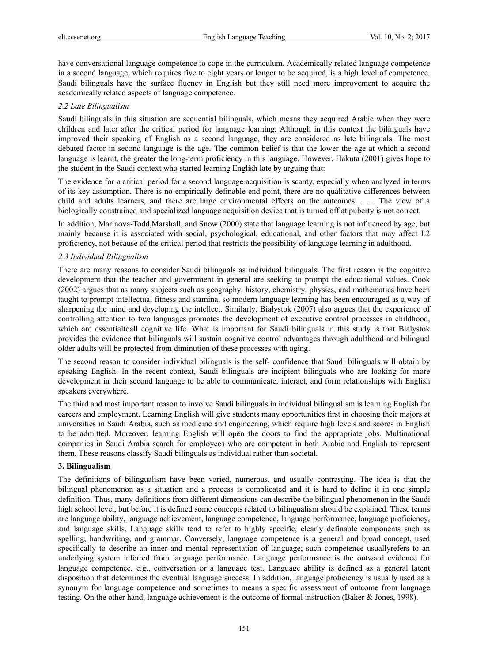have conversational language competence to cope in the curriculum. Academically related language competence in a second language, which requires five to eight years or longer to be acquired, is a high level of competence. Saudi bilinguals have the surface fluency in English but they still need more improvement to acquire the academically related aspects of language competence.

#### *2.2 Late Bilingualism*

Saudi bilinguals in this situation are sequential bilinguals, which means they acquired Arabic when they were children and later after the critical period for language learning. Although in this context the bilinguals have improved their speaking of English as a second language, they are considered as late bilinguals. The most debated factor in second language is the age. The common belief is that the lower the age at which a second language is learnt, the greater the long-term proficiency in this language. However, Hakuta (2001) gives hope to the student in the Saudi context who started learning English late by arguing that:

The evidence for a critical period for a second language acquisition is scanty, especially when analyzed in terms of its key assumption. There is no empirically definable end point, there are no qualitative differences between child and adults learners, and there are large environmental effects on the outcomes. . . . The view of a biologically constrained and specialized language acquisition device that is turned off at puberty is not correct.

In addition, Marinova-Todd,Marshall, and Snow (2000) state that language learning is not influenced by age, but mainly because it is associated with social, psychological, educational, and other factors that may affect L2 proficiency, not because of the critical period that restricts the possibility of language learning in adulthood.

#### *2.3 Individual Bilingualism*

There are many reasons to consider Saudi bilinguals as individual bilinguals. The first reason is the cognitive development that the teacher and government in general are seeking to prompt the educational values. Cook (2002) argues that as many subjects such as geography, history, chemistry, physics, and mathematics have been taught to prompt intellectual fitness and stamina, so modern language learning has been encouraged as a way of sharpening the mind and developing the intellect. Similarly. Bialystok (2007) also argues that the experience of controlling attention to two languages promotes the development of executive control processes in childhood, which are essentialtoall cognitive life. What is important for Saudi bilinguals in this study is that Bialystok provides the evidence that bilinguals will sustain cognitive control advantages through adulthood and bilingual older adults will be protected from diminution of these processes with aging.

The second reason to consider individual bilinguals is the self- confidence that Saudi bilinguals will obtain by speaking English. In the recent context, Saudi bilinguals are incipient bilinguals who are looking for more development in their second language to be able to communicate, interact, and form relationships with English speakers everywhere.

The third and most important reason to involve Saudi bilinguals in individual bilingualism is learning English for careers and employment. Learning English will give students many opportunities first in choosing their majors at universities in Saudi Arabia, such as medicine and engineering, which require high levels and scores in English to be admitted. Moreover, learning English will open the doors to find the appropriate jobs. Multinational companies in Saudi Arabia search for employees who are competent in both Arabic and English to represent them. These reasons classify Saudi bilinguals as individual rather than societal.

### **3. Bilingualism**

The definitions of bilingualism have been varied, numerous, and usually contrasting. The idea is that the bilingual phenomenon as a situation and a process is complicated and it is hard to define it in one simple definition. Thus, many definitions from different dimensions can describe the bilingual phenomenon in the Saudi high school level, but before it is defined some concepts related to bilingualism should be explained. These terms are language ability, language achievement, language competence, language performance, language proficiency, and language skills. Language skills tend to refer to highly specific, clearly definable components such as spelling, handwriting, and grammar. Conversely, language competence is a general and broad concept, used specifically to describe an inner and mental representation of language; such competence usuallyrefers to an underlying system inferred from language performance. Language performance is the outward evidence for language competence, e.g., conversation or a language test. Language ability is defined as a general latent disposition that determines the eventual language success. In addition, language proficiency is usually used as a synonym for language competence and sometimes to means a specific assessment of outcome from language testing. On the other hand, language achievement is the outcome of formal instruction (Baker & Jones, 1998).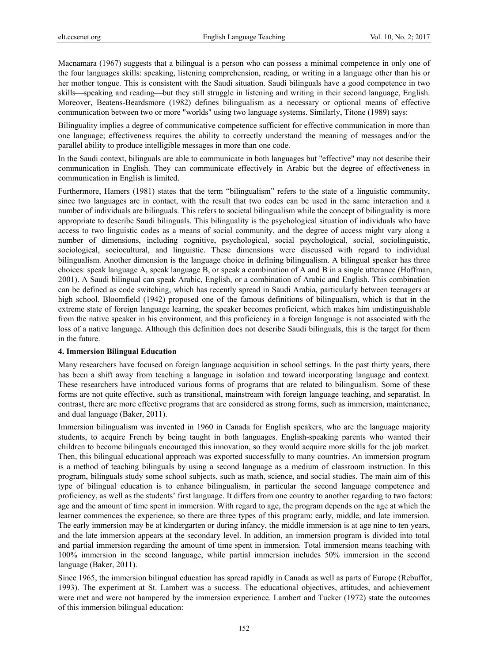Macnamara (1967) suggests that a bilingual is a person who can possess a minimal competence in only one of the four languages skills: speaking, listening comprehension, reading, or writing in a language other than his or her mother tongue. This is consistent with the Saudi situation. Saudi bilinguals have a good competence in two skills—speaking and reading—but they still struggle in listening and writing in their second language, English. Moreover, Beatens-Beardsmore (1982) defines bilingualism as a necessary or optional means of effective communication between two or more "worlds" using two language systems. Similarly, Titone (1989) says:

Bilinguality implies a degree of communicative competence sufficient for effective communication in more than one language; effectiveness requires the ability to correctly understand the meaning of messages and/or the parallel ability to produce intelligible messages in more than one code.

In the Saudi context, bilinguals are able to communicate in both languages but "effective" may not describe their communication in English. They can communicate effectively in Arabic but the degree of effectiveness in communication in English is limited.

Furthermore, Hamers (1981) states that the term "bilingualism" refers to the state of a linguistic community, since two languages are in contact, with the result that two codes can be used in the same interaction and a number of individuals are bilinguals. This refers to societal bilingualism while the concept of bilinguality is more appropriate to describe Saudi bilinguals. This bilinguality is the psychological situation of individuals who have access to two linguistic codes as a means of social community, and the degree of access might vary along a number of dimensions, including cognitive, psychological, social psychological, social, sociolinguistic, sociological, sociocultural, and linguistic. These dimensions were discussed with regard to individual bilingualism. Another dimension is the language choice in defining bilingualism. A bilingual speaker has three choices: speak language A, speak language B, or speak a combination of A and B in a single utterance (Hoffman, 2001). A Saudi bilingual can speak Arabic, English, or a combination of Arabic and English. This combination can be defined as code switching, which has recently spread in Saudi Arabia, particularly between teenagers at high school. Bloomfield (1942) proposed one of the famous definitions of bilingualism, which is that in the extreme state of foreign language learning, the speaker becomes proficient, which makes him undistinguishable from the native speaker in his environment, and this proficiency in a foreign language is not associated with the loss of a native language. Although this definition does not describe Saudi bilinguals, this is the target for them in the future.

# **4. Immersion Bilingual Education**

Many researchers have focused on foreign language acquisition in school settings. In the past thirty years, there has been a shift away from teaching a language in isolation and toward incorporating language and context. These researchers have introduced various forms of programs that are related to bilingualism. Some of these forms are not quite effective, such as transitional, mainstream with foreign language teaching, and separatist. In contrast, there are more effective programs that are considered as strong forms, such as immersion, maintenance, and dual language (Baker, 2011).

Immersion bilingualism was invented in 1960 in Canada for English speakers, who are the language majority students, to acquire French by being taught in both languages. English-speaking parents who wanted their children to become bilinguals encouraged this innovation, so they would acquire more skills for the job market. Then, this bilingual educational approach was exported successfully to many countries. An immersion program is a method of teaching bilinguals by using a second language as a medium of classroom instruction. In this program, bilinguals study some school subjects, such as math, science, and social studies. The main aim of this type of bilingual education is to enhance bilingualism, in particular the second language competence and proficiency, as well as the students' first language. It differs from one country to another regarding to two factors: age and the amount of time spent in immersion. With regard to age, the program depends on the age at which the learner commences the experience, so there are three types of this program: early, middle, and late immersion. The early immersion may be at kindergarten or during infancy, the middle immersion is at age nine to ten years, and the late immersion appears at the secondary level. In addition, an immersion program is divided into total and partial immersion regarding the amount of time spent in immersion. Total immersion means teaching with 100% immersion in the second language, while partial immersion includes 50% immersion in the second language (Baker, 2011).

Since 1965, the immersion bilingual education has spread rapidly in Canada as well as parts of Europe (Rebuffot, 1993). The experiment at St. Lambert was a success. The educational objectives, attitudes, and achievement were met and were not hampered by the immersion experience. Lambert and Tucker (1972) state the outcomes of this immersion bilingual education: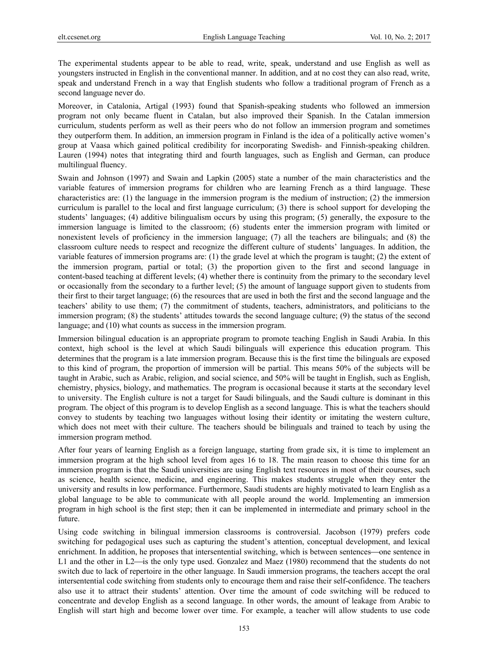The experimental students appear to be able to read, write, speak, understand and use English as well as youngsters instructed in English in the conventional manner. In addition, and at no cost they can also read, write, speak and understand French in a way that English students who follow a traditional program of French as a second language never do.

Moreover, in Catalonia, Artigal (1993) found that Spanish-speaking students who followed an immersion program not only became fluent in Catalan, but also improved their Spanish. In the Catalan immersion curriculum, students perform as well as their peers who do not follow an immersion program and sometimes they outperform them. In addition, an immersion program in Finland is the idea of a politically active women's group at Vaasa which gained political credibility for incorporating Swedish- and Finnish-speaking children. Lauren (1994) notes that integrating third and fourth languages, such as English and German, can produce multilingual fluency.

Swain and Johnson (1997) and Swain and Lapkin (2005) state a number of the main characteristics and the variable features of immersion programs for children who are learning French as a third language. These characteristics are: (1) the language in the immersion program is the medium of instruction; (2) the immersion curriculum is parallel to the local and first language curriculum; (3) there is school support for developing the students' languages; (4) additive bilingualism occurs by using this program; (5) generally, the exposure to the immersion language is limited to the classroom; (6) students enter the immersion program with limited or nonexistent levels of proficiency in the immersion language; (7) all the teachers are bilinguals; and (8) the classroom culture needs to respect and recognize the different culture of students' languages. In addition, the variable features of immersion programs are: (1) the grade level at which the program is taught; (2) the extent of the immersion program, partial or total; (3) the proportion given to the first and second language in content-based teaching at different levels; (4) whether there is continuity from the primary to the secondary level or occasionally from the secondary to a further level; (5) the amount of language support given to students from their first to their target language; (6) the resources that are used in both the first and the second language and the teachers' ability to use them; (7) the commitment of students, teachers, administrators, and politicians to the immersion program; (8) the students' attitudes towards the second language culture; (9) the status of the second language; and (10) what counts as success in the immersion program.

Immersion bilingual education is an appropriate program to promote teaching English in Saudi Arabia. In this context, high school is the level at which Saudi bilinguals will experience this education program. This determines that the program is a late immersion program. Because this is the first time the bilinguals are exposed to this kind of program, the proportion of immersion will be partial. This means 50% of the subjects will be taught in Arabic, such as Arabic, religion, and social science, and 50% will be taught in English, such as English, chemistry, physics, biology, and mathematics. The program is occasional because it starts at the secondary level to university. The English culture is not a target for Saudi bilinguals, and the Saudi culture is dominant in this program. The object of this program is to develop English as a second language. This is what the teachers should convey to students by teaching two languages without losing their identity or imitating the western culture, which does not meet with their culture. The teachers should be bilinguals and trained to teach by using the immersion program method.

After four years of learning English as a foreign language, starting from grade six, it is time to implement an immersion program at the high school level from ages 16 to 18. The main reason to choose this time for an immersion program is that the Saudi universities are using English text resources in most of their courses, such as science, health science, medicine, and engineering. This makes students struggle when they enter the university and results in low performance. Furthermore, Saudi students are highly motivated to learn English as a global language to be able to communicate with all people around the world. Implementing an immersion program in high school is the first step; then it can be implemented in intermediate and primary school in the future.

Using code switching in bilingual immersion classrooms is controversial. Jacobson (1979) prefers code switching for pedagogical uses such as capturing the student's attention, conceptual development, and lexical enrichment. In addition, he proposes that intersentential switching, which is between sentences—one sentence in L1 and the other in L2—is the only type used. Gonzalez and Maez  $(1980)$  recommend that the students do not switch due to lack of repertoire in the other language. In Saudi immersion programs, the teachers accept the oral intersentential code switching from students only to encourage them and raise their self-confidence. The teachers also use it to attract their students' attention. Over time the amount of code switching will be reduced to concentrate and develop English as a second language. In other words, the amount of leakage from Arabic to English will start high and become lower over time. For example, a teacher will allow students to use code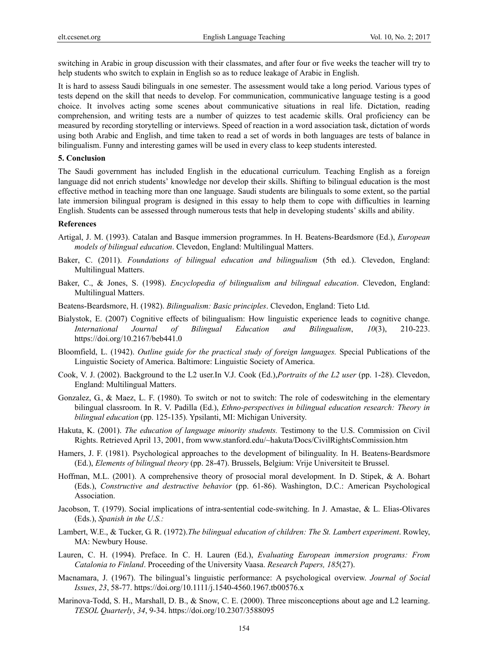switching in Arabic in group discussion with their classmates, and after four or five weeks the teacher will try to help students who switch to explain in English so as to reduce leakage of Arabic in English.

It is hard to assess Saudi bilinguals in one semester. The assessment would take a long period. Various types of tests depend on the skill that needs to develop. For communication, communicative language testing is a good choice. It involves acting some scenes about communicative situations in real life. Dictation, reading comprehension, and writing tests are a number of quizzes to test academic skills. Oral proficiency can be measured by recording storytelling or interviews. Speed of reaction in a word association task, dictation of words using both Arabic and English, and time taken to read a set of words in both languages are tests of balance in bilingualism. Funny and interesting games will be used in every class to keep students interested.

#### **5. Conclusion**

The Saudi government has included English in the educational curriculum. Teaching English as a foreign language did not enrich students' knowledge nor develop their skills. Shifting to bilingual education is the most effective method in teaching more than one language. Saudi students are bilinguals to some extent, so the partial late immersion bilingual program is designed in this essay to help them to cope with difficulties in learning English. Students can be assessed through numerous tests that help in developing students' skills and ability.

#### **References**

- Artigal, J. M. (1993). Catalan and Basque immersion programmes. In H. Beatens-Beardsmore (Ed.), *European models of bilingual education*. Clevedon, England: Multilingual Matters.
- Baker, C. (2011). *Foundations of bilingual education and bilingualism* (5th ed.). Clevedon, England: Multilingual Matters.
- Baker, C., & Jones, S. (1998). *Encyclopedia of bilingualism and bilingual education*. Clevedon, England: Multilingual Matters.
- Beatens-Beardsmore, H. (1982). *Bilingualism: Basic principles*. Clevedon, England: Tieto Ltd.
- Bialystok, E. (2007) Cognitive effects of bilingualism: How linguistic experience leads to cognitive change. *International Journal of Bilingual Education and Bilingualism*, *10*(3), 210-223. https://doi.org/10.2167/beb441.0
- Bloomfield, L. (1942). *Outline guide for the practical study of foreign languages.* Special Publications of the Linguistic Society of America. Baltimore: Linguistic Society of America.
- Cook, V. J. (2002). Background to the L2 user.In V.J. Cook (Ed.),*Portraits of the L2 user* (pp. 1-28). Clevedon, England: Multilingual Matters.
- Gonzalez, G., & Maez, L. F. (1980). To switch or not to switch: The role of codeswitching in the elementary bilingual classroom. In R. V. Padilla (Ed.), *Ethno-perspectives in bilingual education research: Theory in bilingual education* (pp. 125-135). Ypsilanti, MI: Michigan University.
- Hakuta, K. (2001). *The education of language minority students.* Testimony to the U.S. Commission on Civil Rights. Retrieved April 13, 2001, from www.stanford.edu/~hakuta/Docs/CivilRightsCommission.htm
- Hamers, J. F. (1981). Psychological approaches to the development of bilinguality. In H. Beatens-Beardsmore (Ed.), *Elements of bilingual theory* (pp. 28-47). Brussels, Belgium: Vrije Universiteit te Brussel.
- Hoffman, M.L. (2001). A comprehensive theory of prosocial moral development. In D. Stipek, & A. Bohart (Eds.), *Constructive and destructive behavior* (pp. 61-86). Washington, D.C.: American Psychological Association.
- Jacobson, T. (1979). Social implications of intra-sentential code-switching. In J. Amastae, & L. Elias-Olivares (Eds.), *Spanish in the U.S.:*
- Lambert, W.E., & Tucker, G. R. (1972).*The bilingual education of children: The St. Lambert experiment*. Rowley, MA: Newbury House.
- Lauren, C. H. (1994). Preface. In C. H. Lauren (Ed.), *Evaluating European immersion programs: From Catalonia to Finland*. Proceeding of the University Vaasa. *Research Papers, 185*(27).
- Macnamara, J. (1967). The bilingual's linguistic performance: A psychological overview. *Journal of Social Issues*, *23*, 58-77. https://doi.org/10.1111/j.1540-4560.1967.tb00576.x
- Marinova-Todd, S. H., Marshall, D. B., & Snow, C. E. (2000). Three misconceptions about age and L2 learning. *TESOL Quarterly*, *34*, 9-34. https://doi.org/10.2307/3588095